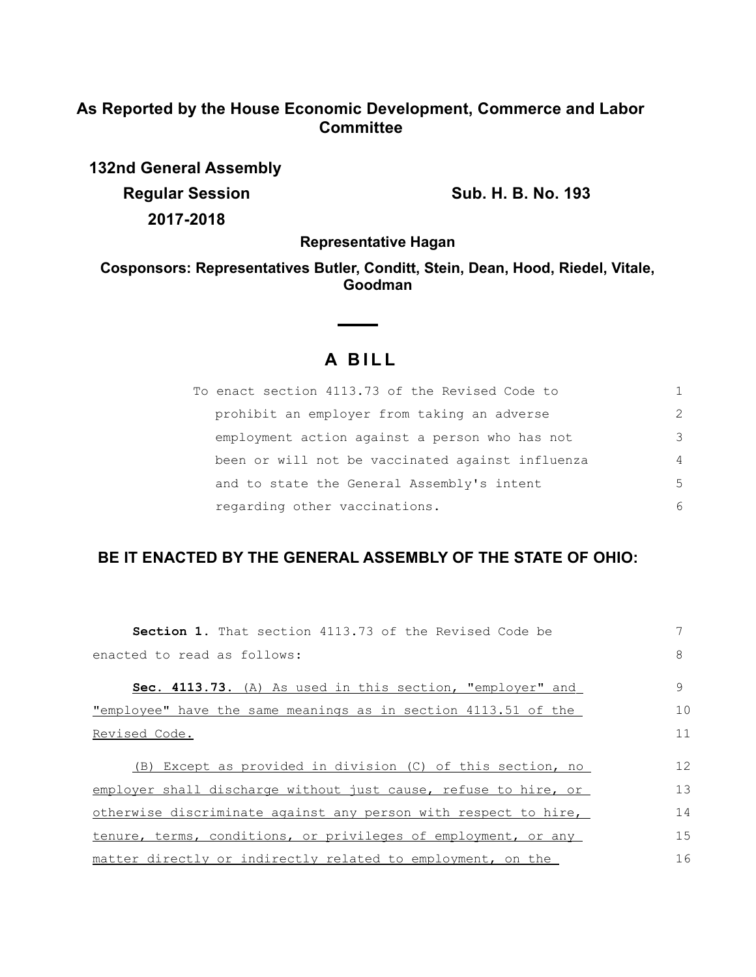## **As Reported by the House Economic Development, Commerce and Labor Committee**

**132nd General Assembly Regular Session Sub. H. B. No. 193 2017-2018**

**Representative Hagan**

**Cosponsors: Representatives Butler, Conditt, Stein, Dean, Hood, Riedel, Vitale, Goodman**

## **A B I L L**

 $\sim$  $\sim$ 

| To enact section 4113.73 of the Revised Code to  |                |
|--------------------------------------------------|----------------|
| prohibit an employer from taking an adverse      | $\mathcal{L}$  |
| employment action against a person who has not   | 3              |
| been or will not be vaccinated against influenza | $\overline{4}$ |
| and to state the General Assembly's intent       | .5             |
| regarding other vaccinations.                    | 6              |

## **BE IT ENACTED BY THE GENERAL ASSEMBLY OF THE STATE OF OHIO:**

| <b>Section 1.</b> That section 4113.73 of the Revised Code be         |    |  |
|-----------------------------------------------------------------------|----|--|
| enacted to read as follows:                                           | 8  |  |
| <b>Sec. 4113.73.</b> (A) As used in this section, "employer" and      | 9  |  |
| <u>"employee" have the same meanings as in section 4113.51 of the</u> | 10 |  |
| Revised Code.                                                         |    |  |
| (B) Except as provided in division (C) of this section, no            | 12 |  |
| employer shall discharge without just cause, refuse to hire, or       | 13 |  |
| otherwise discriminate against any person with respect to hire,       |    |  |
| tenure, terms, conditions, or privileges of employment, or any        |    |  |
| matter directly or indirectly related to employment, on the           | 16 |  |